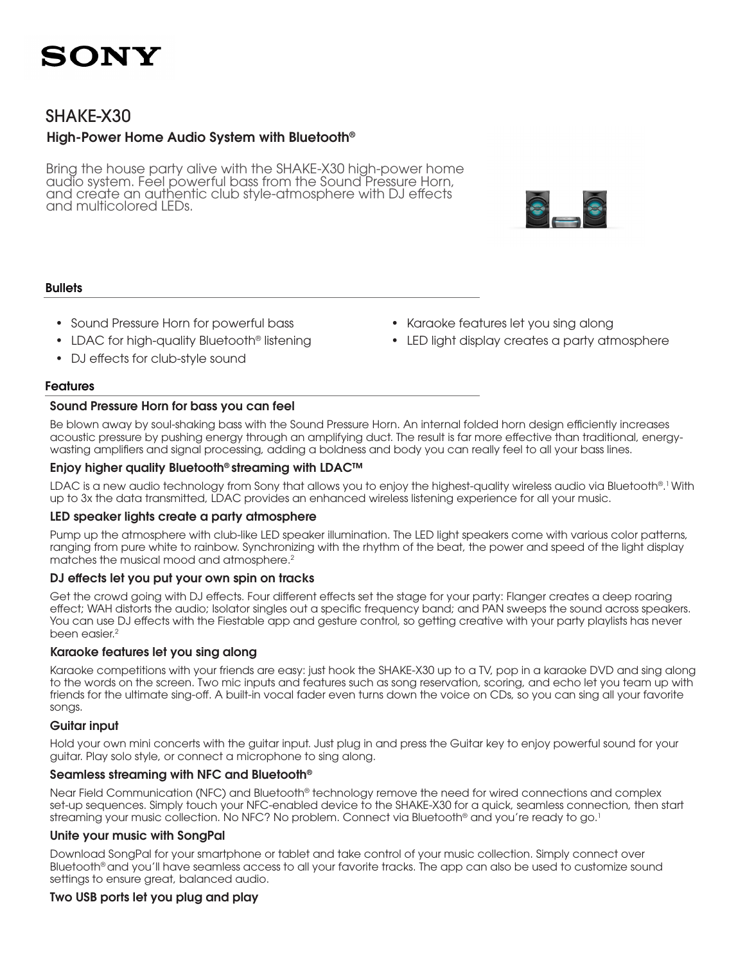

### SHAKE-X30

### High-Power Home Audio System with Bluetooth®

Bring the house party alive with the SHAKE-X30 high-power home audio system. Feel powerful bass from the Sound Pressure Horn, and create an authentic club style-atmosphere with DJ effects and multicolored LEDs.

#### **Bullets**

- Sound Pressure Horn for powerful bass
- LDAC for high-quality Bluetooth® listening
- DJ effects for club-style sound

#### Features

#### Sound Pressure Horn for bass you can feel

Be blown away by soul-shaking bass with the Sound Pressure Horn. An internal folded horn design efficiently increases acoustic pressure by pushing energy through an amplifying duct. The result is far more effective than traditional, energywasting amplifiers and signal processing, adding a boldness and body you can really feel to all your bass lines.

#### Enjoy higher quality Bluetooth® streaming with LDAC™

LDAC is a new audio technology from Sony that allows you to enjoy the highest-quality wireless audio via Bluetooth®. 1 With up to 3x the data transmitted, LDAC provides an enhanced wireless listening experience for all your music.

#### LED speaker lights create a party atmosphere

Pump up the atmosphere with club-like LED speaker illumination. The LED light speakers come with various color patterns, ranging from pure white to rainbow. Synchronizing with the rhythm of the beat, the power and speed of the light display matches the musical mood and atmosphere.2

#### DJ effects let you put your own spin on tracks

Get the crowd going with DJ effects. Four different effects set the stage for your party: Flanger creates a deep roaring effect; WAH distorts the audio; Isolator singles out a specific frequency band; and PAN sweeps the sound across speakers. You can use DJ effects with the Fiestable app and gesture control, so getting creative with your party playlists has never been easier.<sup>2</sup>

#### Karaoke features let you sing along

Karaoke competitions with your friends are easy: just hook the SHAKE-X30 up to a TV, pop in a karaoke DVD and sing along to the words on the screen. Two mic inputs and features such as song reservation, scoring, and echo let you team up with friends for the ultimate sing-off. A built-in vocal fader even turns down the voice on CDs, so you can sing all your favorite songs.

#### Guitar input

Hold your own mini concerts with the guitar input. Just plug in and press the Guitar key to enjoy powerful sound for your guitar. Play solo style, or connect a microphone to sing along.

#### Seamless streaming with NFC and Bluetooth®

Near Field Communication (NFC) and Bluetooth® technology remove the need for wired connections and complex set-up sequences. Simply touch your NFC-enabled device to the SHAKE-X30 for a quick, seamless connection, then start streaming your music collection. No NFC? No problem. Connect via Bluetooth<sup>®</sup> and you're ready to go.<sup>1</sup>

#### Unite your music with SongPal

Download SongPal for your smartphone or tablet and take control of your music collection. Simply connect over Bluetooth® and you'll have seamless access to all your favorite tracks. The app can also be used to customize sound settings to ensure great, balanced audio.

#### Two USB ports let you plug and play

- Karaoke features let you sing along
- LED light display creates a party atmosphere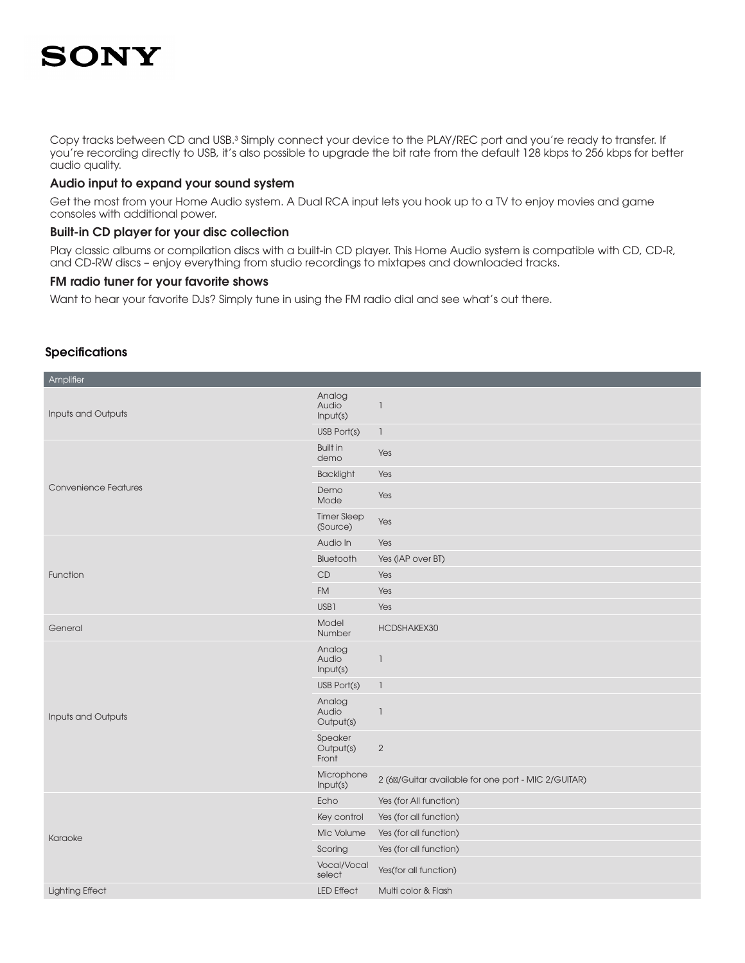Copy tracks between CD and USB.<sup>3</sup> Simply connect your device to the PLAY/REC port and you're ready to transfer. If you're recording directly to USB, it's also possible to upgrade the bit rate from the default 128 kbps to 256 kbps for better audio quality.

#### Audio input to expand your sound system

Get the most from your Home Audio system. A Dual RCA input lets you hook up to a TV to enjoy movies and game consoles with additional power.

#### Built-in CD player for your disc collection

Play classic albums or compilation discs with a built-in CD player. This Home Audio system is compatible with CD, CD-R, and CD-RW discs – enjoy everything from studio recordings to mixtapes and downloaded tracks.

#### FM radio tuner for your favorite shows

Want to hear your favorite DJs? Simply tune in using the FM radio dial and see what's out there.

#### **Specifications**

| Amplifier                   |                                |                                                       |
|-----------------------------|--------------------------------|-------------------------------------------------------|
| Inputs and Outputs          | Analog<br>Audio<br>Input(s)    | $\overline{\phantom{a}}$                              |
|                             | USB Port(s)                    | $\mathbb{I}$                                          |
| <b>Convenience Features</b> | <b>Built in</b><br>demo        | Yes                                                   |
|                             | <b>Backlight</b>               | Yes                                                   |
|                             | Demo<br>Mode                   | Yes                                                   |
|                             | <b>Timer Sleep</b><br>(Source) | Yes                                                   |
|                             | Audio In                       | Yes                                                   |
| Function                    | Bluetooth                      | Yes (iAP over BT)                                     |
|                             | CD                             | Yes                                                   |
|                             | <b>FM</b>                      | Yes                                                   |
|                             | USB1                           | Yes                                                   |
| General                     | Model<br>Number                | HCDSHAKEX30                                           |
| Inputs and Outputs          | Analog<br>Audio<br>Input(s)    | $\overline{\phantom{a}}$                              |
|                             | USB Port(s)                    | $\overline{\phantom{a}}$                              |
|                             | Analog<br>Audio<br>Output(s)   | $\overline{\phantom{a}}$                              |
|                             | Speaker<br>Output(s)<br>Front  | $\overline{2}$                                        |
|                             | Microphone<br>Input(s)         | 2 (6 / Guitar available for one port - MIC 2/ GUITAR) |
| Karaoke                     | Echo                           | Yes (for All function)                                |
|                             | Key control                    | Yes (for all function)                                |
|                             | Mic Volume                     | Yes (for all function)                                |
|                             | Scoring                        | Yes (for all function)                                |
|                             | Vocal/Vocal<br>select          | Yes(for all function)                                 |
| <b>Lighting Effect</b>      | <b>LED Effect</b>              | Multi color & Flash                                   |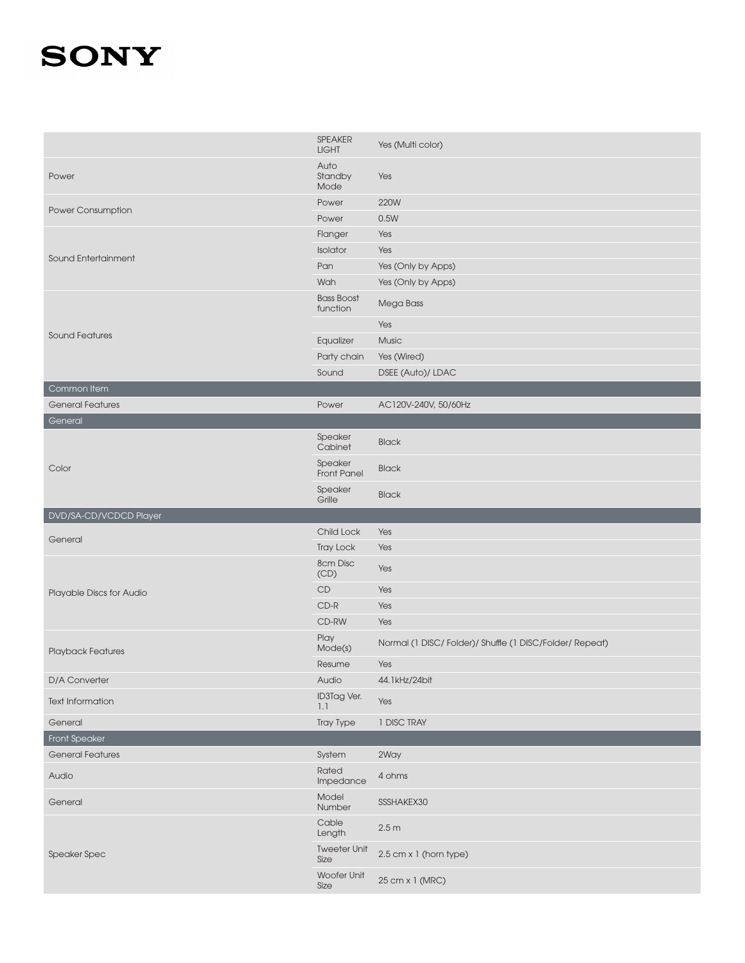|                          | SPEAKER<br><b>LIGHT</b>                    | Yes (Multi color)                                       |
|--------------------------|--------------------------------------------|---------------------------------------------------------|
| Power                    | Auto<br>Standby<br>Mode                    | Yes                                                     |
| Power Consumption        | Power                                      | 220W                                                    |
|                          | Power                                      | 0.5W                                                    |
|                          | Flanger                                    | Yes                                                     |
| Sound Entertainment      | Isolator                                   | Yes                                                     |
|                          | Pan                                        | Yes (Only by Apps)                                      |
|                          | Wah                                        | Yes (Only by Apps)                                      |
|                          | <b>Bass Boost</b><br>function              | Mega Bass                                               |
| <b>Sound Features</b>    |                                            | Yes                                                     |
|                          | Equalizer                                  | Music                                                   |
|                          | Party chain                                | Yes (Wired)                                             |
|                          | Sound                                      | DSEE (Auto)/ LDAC                                       |
| Common Item              |                                            |                                                         |
| <b>General Features</b>  | Power                                      | AC120V-240V, 50/60Hz                                    |
| General                  |                                            |                                                         |
| Color                    | Speaker<br>Cabinet                         | <b>Black</b>                                            |
|                          | Speaker<br>Front Panel                     | <b>Black</b>                                            |
|                          | Speaker<br>Grille                          | <b>Black</b>                                            |
|                          |                                            |                                                         |
| DVD/SA-CD/VCDCD Player   |                                            |                                                         |
| General                  | Child Lock                                 | Yes                                                     |
|                          | <b>Tray Lock</b>                           | Yes                                                     |
|                          | 8cm Disc<br>(CD)                           | Yes                                                     |
| Playable Discs for Audio | CD                                         | Yes                                                     |
|                          | $CD-R$                                     | Yes                                                     |
|                          | CD-RW                                      | Yes                                                     |
| Playback Features        | Play<br>Mode(s)                            | Normal (1 DISC/Folder)/ Shuffle (1 DISC/Folder/ Repeat) |
|                          | Resume                                     | Yes                                                     |
| D/A Converter            | Audio                                      | 44.1kHz/24bit                                           |
| <b>Text Information</b>  | ID3Tag Ver.<br>1.1                         | Yes                                                     |
| General                  | Tray Type                                  | 1 DISC TRAY                                             |
| <b>Front Speaker</b>     |                                            |                                                         |
| <b>General Features</b>  | System                                     | 2Way                                                    |
| Audio                    | Rated<br>Impedance                         | 4 ohms                                                  |
| General                  | Model<br>Number                            | SSSHAKEX30                                              |
|                          | Cable<br>Length                            | 2.5m                                                    |
| <b>Speaker Spec</b>      | <b>Tweeter Unit</b><br>Size<br>Woofer Unit | 2.5 cm x 1 (horn type)                                  |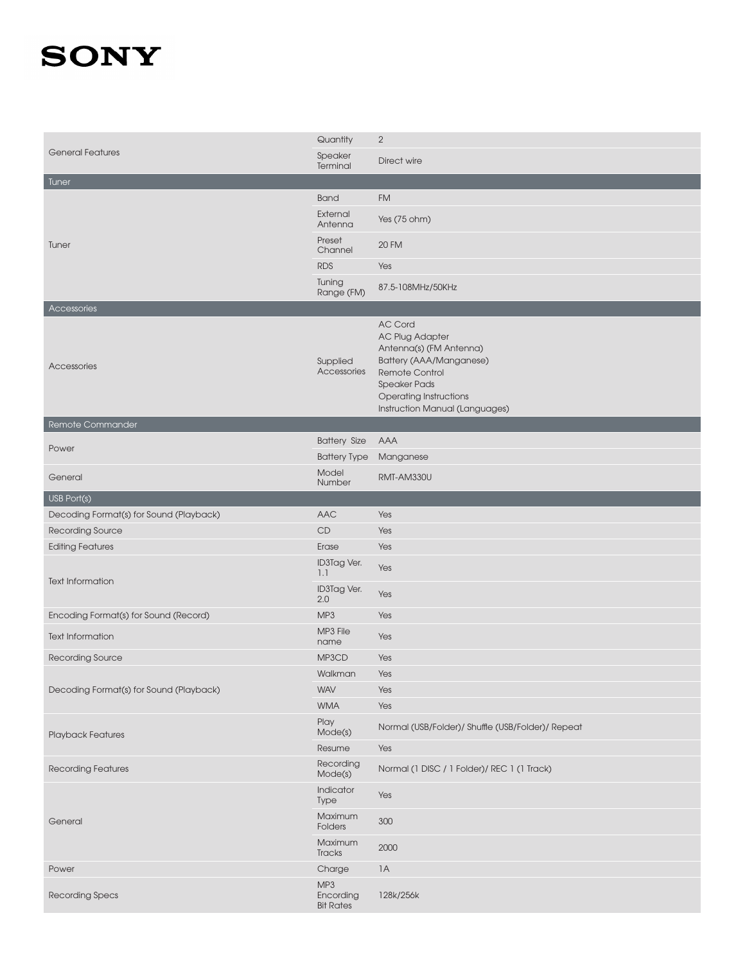| <b>General Features</b>                 | Quantity                             | $\overline{2}$                                                                                                                                                                                             |
|-----------------------------------------|--------------------------------------|------------------------------------------------------------------------------------------------------------------------------------------------------------------------------------------------------------|
|                                         | Speaker<br>Terminal                  | Direct wire                                                                                                                                                                                                |
| Tuner                                   |                                      |                                                                                                                                                                                                            |
| Tuner                                   | <b>Band</b>                          | <b>FM</b>                                                                                                                                                                                                  |
|                                         | External<br>Antenna                  | Yes (75 ohm)                                                                                                                                                                                               |
|                                         | Preset<br>Channel                    | <b>20 FM</b>                                                                                                                                                                                               |
|                                         | <b>RDS</b>                           | Yes                                                                                                                                                                                                        |
|                                         | Tuning<br>Range (FM)                 | 87.5-108MHz/50KHz                                                                                                                                                                                          |
| Accessories                             |                                      |                                                                                                                                                                                                            |
| Accessories                             | Supplied<br>Accessories              | <b>AC Cord</b><br><b>AC Plug Adapter</b><br>Antenna(s) (FM Antenna)<br>Battery (AAA/Manganese)<br>Remote Control<br><b>Speaker Pads</b><br><b>Operating Instructions</b><br>Instruction Manual (Languages) |
| Remote Commander                        |                                      |                                                                                                                                                                                                            |
| Power                                   | <b>Battery Size</b>                  | AAA                                                                                                                                                                                                        |
|                                         | <b>Battery Type</b>                  | Manganese                                                                                                                                                                                                  |
| General                                 | Model<br>Number                      | RMT-AM330U                                                                                                                                                                                                 |
| USB Port(s)                             |                                      |                                                                                                                                                                                                            |
| Decoding Format(s) for Sound (Playback) | AAC                                  | Yes                                                                                                                                                                                                        |
| Recording Source                        | CD                                   | Yes                                                                                                                                                                                                        |
| <b>Editing Features</b>                 | Erase                                | Yes                                                                                                                                                                                                        |
| <b>Text Information</b>                 | ID3Tag Ver.<br>1.1                   | Yes                                                                                                                                                                                                        |
|                                         | ID3Tag Ver.<br>2.0                   | Yes                                                                                                                                                                                                        |
| Encoding Format(s) for Sound (Record)   | MP <sub>3</sub>                      | Yes                                                                                                                                                                                                        |
| <b>Text Information</b>                 | MP3 File<br>name                     | Yes                                                                                                                                                                                                        |
| Recording Source                        | MP3CD                                | Yes                                                                                                                                                                                                        |
| Decoding Format(s) for Sound (Playback) | Walkman                              | Yes                                                                                                                                                                                                        |
|                                         | <b>WAV</b>                           | Yes                                                                                                                                                                                                        |
|                                         | <b>WMA</b>                           | Yes                                                                                                                                                                                                        |
| <b>Playback Features</b>                | Play<br>Mode(s)                      | Normal (USB/Folder)/ Shuffle (USB/Folder)/ Repeat                                                                                                                                                          |
|                                         | Resume                               | Yes                                                                                                                                                                                                        |
| <b>Recording Features</b>               | Recording<br>Mode(s)                 | Normal (1 DISC / 1 Folder)/ REC 1 (1 Track)                                                                                                                                                                |
| General                                 | Indicator<br>Type                    | Yes                                                                                                                                                                                                        |
|                                         | Maximum<br>Folders                   | 300                                                                                                                                                                                                        |
|                                         | Maximum<br>Tracks                    | 2000                                                                                                                                                                                                       |
| Power                                   | Charge                               | 1A                                                                                                                                                                                                         |
| <b>Recording Specs</b>                  | MP3<br>Encording<br><b>Bit Rates</b> | 128k/256k                                                                                                                                                                                                  |